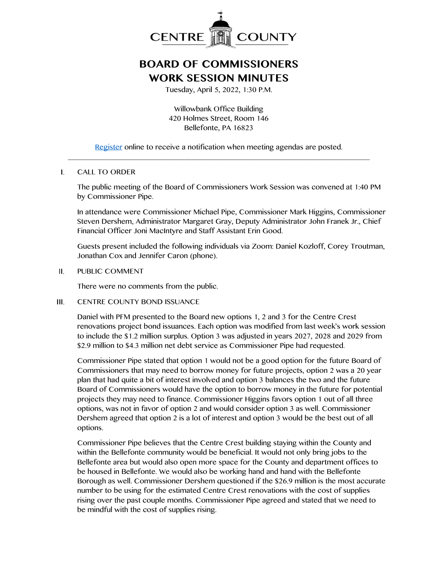

## **BOARD OF COMMISSIONERS WORK SESSION MINUTES**

Tuesday, April 5, 2022, 1:30 P.M.

Willowbank Office Building 420 Holmes Street, Room 146 Bellefonte, PA 16823

[Register](http://www.centrecountypa.gov/AgendaCenter) online to receive a notification when meeting agendas are posted. \_\_\_\_\_\_\_\_\_\_\_\_\_\_\_\_\_\_\_\_\_\_\_\_\_\_\_\_\_\_\_\_\_\_\_\_\_\_\_\_\_\_\_\_\_\_\_\_\_\_\_\_\_\_\_\_\_\_\_\_\_\_\_\_\_\_\_\_\_\_\_\_\_\_\_\_\_\_

## $\mathbf{L}$ CALL TO ORDER

The public meeting of the Board of Commissioners Work Session was convened at 1:40 PM by Commissioner Pipe.

In attendance were Commissioner Michael Pipe, Commissioner Mark Higgins, Commissioner Steven Dershem, Administrator Margaret Gray, Deputy Administrator John Franek Jr., Chief Financial Officer Joni MacIntyre and Staff Assistant Erin Good.

Guests present included the following individuals via Zoom: Daniel Kozloff, Corey Troutman, Jonathan Cox and Jennifer Caron (phone).

## $II.$ PUBLIC COMMENT

There were no comments from the public.

## $III.$ CENTRE COUNTY BOND ISSUANCE

Daniel with PFM presented to the Board new options 1, 2 and 3 for the Centre Crest renovations project bond issuances. Each option was modified from last week's work session to include the \$1.2 million surplus. Option 3 was adjusted in years 2027, 2028 and 2029 from \$2.9 million to \$4.3 million net debt service as Commissioner Pipe had requested.

Commissioner Pipe stated that option 1 would not be a good option for the future Board of Commissioners that may need to borrow money for future projects, option 2 was a 20 year plan that had quite a bit of interest involved and option 3 balances the two and the future Board of Commissioners would have the option to borrow money in the future for potential projects they may need to finance. Commissioner Higgins favors option 1 out of all three options, was not in favor of option 2 and would consider option 3 as well. Commissioner Dershem agreed that option 2 is a lot of interest and option 3 would be the best out of all options.

Commissioner Pipe believes that the Centre Crest building staying within the County and within the Bellefonte community would be beneficial. It would not only bring jobs to the Bellefonte area but would also open more space for the County and department offices to be housed in Bellefonte. We would also be working hand and hand with the Bellefonte Borough as well. Commissioner Dershem questioned if the \$26.9 million is the most accurate number to be using for the estimated Centre Crest renovations with the cost of supplies rising over the past couple months. Commissioner Pipe agreed and stated that we need to be mindful with the cost of supplies rising.